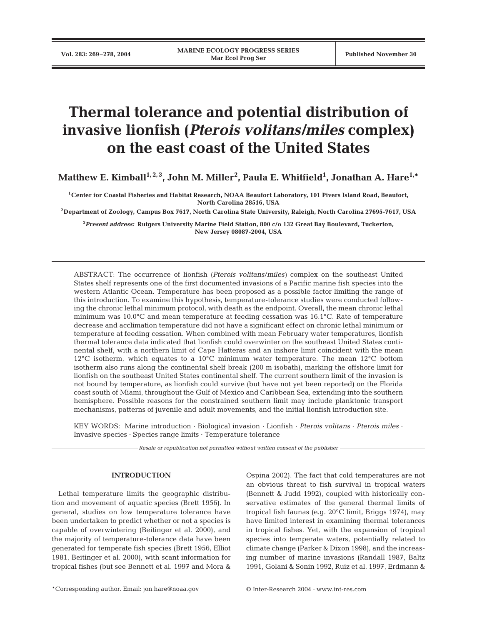# **Thermal tolerance and potential distribution of invasive lionfish (***Pterois volitans***/***miles* **complex) on the east coast of the United States**

**Matthew E. Kimball1, 2, 3, John M. Miller2 , Paula E. Whitfield1 , Jonathan A. Hare1,\***

**1Center for Coastal Fisheries and Habitat Research, NOAA Beaufort Laboratory, 101 Pivers Island Road, Beaufort, North Carolina 28516, USA**

**2Department of Zoology, Campus Box 7617, North Carolina State University, Raleigh, North Carolina 27695-7617, USA**

**3** *Present address:* **Rutgers University Marine Field Station, 800 c/o 132 Great Bay Boulevard, Tuckerton, New Jersey 08087-2004, USA**

ABSTRACT: The occurrence of lionfish (*Pterois volitans*/*miles)* complex on the southeast United States shelf represents one of the first documented invasions of a Pacific marine fish species into the western Atlantic Ocean. Temperature has been proposed as a possible factor limiting the range of this introduction. To examine this hypothesis, temperature-tolerance studies were conducted following the chronic lethal minimum protocol, with death as the endpoint. Overall, the mean chronic lethal minimum was 10.0°C and mean temperature at feeding cessation was 16.1°C. Rate of temperature decrease and acclimation temperature did not have a significant effect on chronic lethal minimum or temperature at feeding cessation. When combined with mean February water temperatures, lionfish thermal tolerance data indicated that lionfish could overwinter on the southeast United States continental shelf, with a northern limit of Cape Hatteras and an inshore limit coincident with the mean 12<sup>°</sup>C isotherm, which equates to a 10<sup>°</sup>C minimum water temperature. The mean 12<sup>°</sup>C bottom isotherm also runs along the continental shelf break (200 m isobath), marking the offshore limit for lionfish on the southeast United States continental shelf. The current southern limit of the invasion is not bound by temperature, as lionfish could survive (but have not yet been reported) on the Florida coast south of Miami, throughout the Gulf of Mexico and Caribbean Sea, extending into the southern hemisphere. Possible reasons for the constrained southern limit may include planktonic transport mechanisms, patterns of juvenile and adult movements, and the initial lionfish introduction site.

KEY WORDS: Marine introduction · Biological invasion · Lionfish · *Pterois volitans* · *Pterois miles* · Invasive species · Species range limits · Temperature tolerance

*Resale or republication not permitted without written consent of the publisher*

## **INTRODUCTION**

Lethal temperature limits the geographic distribution and movement of aquatic species (Brett 1956). In general, studies on low temperature tolerance have been undertaken to predict whether or not a species is capable of overwintering (Beitinger et al. 2000), and the majority of temperature-tolerance data have been generated for temperate fish species (Brett 1956, Elliot 1981, Beitinger et al. 2000), with scant information for tropical fishes (but see Bennett et al. 1997 and Mora &

Ospina 2002). The fact that cold temperatures are not an obvious threat to fish survival in tropical waters (Bennett & Judd 1992), coupled with historically conservative estimates of the general thermal limits of tropical fish faunas (e.g. 20°C limit, Briggs 1974), may have limited interest in examining thermal tolerances in tropical fishes. Yet, with the expansion of tropical species into temperate waters, potentially related to climate change (Parker & Dixon 1998), and the increasing number of marine invasions (Randall 1987, Baltz 1991, Golani & Sonin 1992, Ruiz et al. 1997, Erdmann &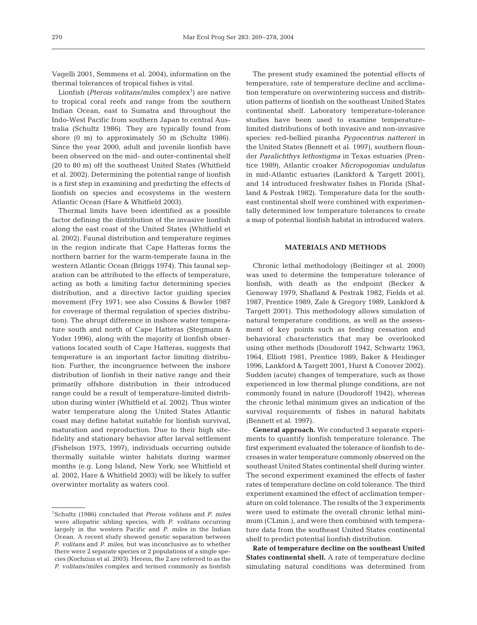Vagelli 2001, Semmens et al. 2004), information on the thermal tolerances of tropical fishes is vital.

Lionfish (*Pterois volitans/miles* complex<sup>1</sup>) are native to tropical coral reefs and range from the southern Indian Ocean, east to Sumatra and throughout the Indo-West Pacific from southern Japan to central Australia (Schultz 1986). They are typically found from shore (0 m) to approximately 50 m (Schultz 1986). Since the year 2000, adult and juvenile lionfish have been observed on the mid- and outer-continental shelf (20 to 80 m) off the southeast United States (Whitfield et al. 2002). Determining the potential range of lionfish is a first step in examining and predicting the effects of lionfish on species and ecosystems in the western Atlantic Ocean (Hare & Whitfield 2003).

Thermal limits have been identified as a possible factor defining the distribution of the invasive lionfish along the east coast of the United States (Whitfield et al. 2002). Faunal distribution and temperature regimes in the region indicate that Cape Hatteras forms the northern barrier for the warm-temperate fauna in the western Atlantic Ocean (Briggs 1974). This faunal separation can be attributed to the effects of temperature, acting as both a limiting factor determining species distribution, and a directive factor guiding species movement (Fry 1971; see also Cossins & Bowler 1987 for coverage of thermal regulation of species distribution). The abrupt difference in inshore water temperature south and north of Cape Hatteras (Stegmann & Yoder 1996), along with the majority of lionfish observations located south of Cape Hatteras, suggests that temperature is an important factor limiting distribution. Further, the incongruence between the inshore distribution of lionfish in their native range and their primarily offshore distribution in their introduced range could be a result of temperature-limited distribution during winter (Whitfield et al. 2002). Thus winter water temperature along the United States Atlantic coast may define habitat suitable for lionfish survival, maturation and reproduction. Due to their high sitefidelity and stationary behavior after larval settlement (Fishelson 1975, 1997), individuals occurring outside thermally suitable winter habitats during warmer months (e.g. Long Island, New York; see Whitfield et al. 2002, Hare & Whitfield 2003) will be likely to suffer overwinter mortality as waters cool.

The present study examined the potential effects of temperature, rate of temperature decline and acclimation temperature on overwintering success and distribution patterns of lionfish on the southeast United States continental shelf. Laboratory temperature-tolerance studies have been used to examine temperaturelimited distributions of both invasive and non-invasive species: red-bellied piranha *Pygocentrus nattereri* in the United States (Bennett et al. 1997), southern flounder *Paralichthys lethostigma* in Texas estuaries (Prentice 1989), Atlantic croaker *Micropogonias undulatus* in mid-Atlantic estuaries (Lankford & Targett 2001), and 14 introduced freshwater fishes in Florida (Shafland & Pestrak 1982). Temperature data for the southeast continental shelf were combined with experimentally determined low temperature tolerances to create a map of potential lionfish habitat in introduced waters.

# **MATERIALS AND METHODS**

Chronic lethal methodology (Beitinger et al. 2000) was used to determine the temperature tolerance of lionfish, with death as the endpoint (Becker & Genoway 1979, Shafland & Pestrak 1982, Fields et al. 1987, Prentice 1989, Zale & Gregory 1989, Lankford & Targett 2001). This methodology allows simulation of natural temperature conditions, as well as the assessment of key points such as feeding cessation and behavioral characteristics that may be overlooked using other methods (Doudoroff 1942, Schwartz 1963, 1964, Elliott 1981, Prentice 1989, Baker & Heidinger 1996, Lankford & Targett 2001, Hurst & Conover 2002). Sudden (acute) changes of temperature, such as those experienced in low thermal plunge conditions, are not commonly found in nature (Doudoroff 1942), whereas the chronic lethal minimum gives an indication of the survival requirements of fishes in natural habitats (Bennett et al. 1997).

**General approach.** We conducted 3 separate experiments to quantify lionfish temperature tolerance. The first experiment evaluated the tolerance of lionfish to decreases in water temperature commonly observed on the southeast United States continental shelf during winter. The second experiment examined the effects of faster rates of temperature decline on cold tolerance. The third experiment examined the effect of acclimation temperature on cold tolerance. The results of the 3 experiments were used to estimate the overall chronic lethal minimum (CLmin.), and were then combined with temperature data from the southeast United States continental shelf to predict potential lionfish distribution.

**Rate of temperature decline on the southeast United States continental shelf.** A rate of temperature decline simulating natural conditions was determined from

<sup>1</sup>Schultz (1986) concluded that *Pterois volitans* and *P. miles* were allopatric sibling species, with *P. volitans* occurring largely in the western Pacific and *P. miles* in the Indian Ocean. A recent study showed genetic separation between *P. volitans* and *P. miles*, but was inconclusive as to whether there were 2 separate species or 2 populations of a single species (Kochzius et al. 2003). Herein, the 2 are referred to as the *P. volitans*/*miles* complex and termed commonly as lionfish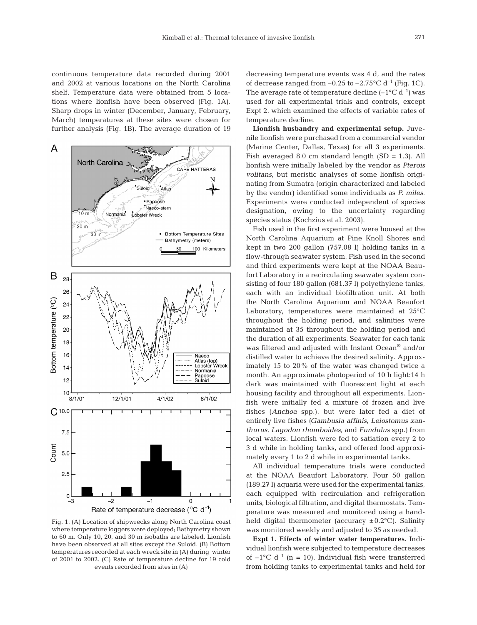continuous temperature data recorded during 2001 and 2002 at various locations on the North Carolina shelf. Temperature data were obtained from 5 locations where lionfish have been observed (Fig. 1A). Sharp drops in winter (December, January, February, March) temperatures at these sites were chosen for further analysis (Fig. 1B). The average duration of 19



Fig. 1. (A) Location of shipwrecks along North Carolina coast where temperature loggers were deployed; Bathymetry shown to 60 m. Only 10, 20, and 30 m isobaths are labeled. Lionfish have been observed at all sites except the Suloid. (B) Bottom temperatures recorded at each wreck site in (A) during winter of 2001 to 2002. (C) Rate of temperature decline for 19 cold events recorded from sites in (A)

decreasing temperature events was 4 d, and the rates of decrease ranged from  $-0.25$  to  $-2.75^{\circ}$ C d<sup>-1</sup> (Fig. 1C). The average rate of temperature decline  $(-1^{\circ}C d^{-1})$  was used for all experimental trials and controls, except Expt 2, which examined the effects of variable rates of temperature decline*.*

**Lionfish husbandry and experimental setup.** Juvenile lionfish were purchased from a commercial vendor (Marine Center, Dallas, Texas) for all 3 experiments. Fish averaged 8.0 cm standard length  $(SD = 1.3)$ . All lionfish were initially labeled by the vendor as *Pterois volitans*, but meristic analyses of some lionfish originating from Sumatra (origin characterized and labeled by the vendor) identified some individuals as *P. miles*. Experiments were conducted independent of species designation, owing to the uncertainty regarding species status (Kochzius et al. 2003).

Fish used in the first experiment were housed at the North Carolina Aquarium at Pine Knoll Shores and kept in two 200 gallon (757.08 l) holding tanks in a flow-through seawater system. Fish used in the second and third experiments were kept at the NOAA Beaufort Laboratory in a recirculating seawater system consisting of four 180 gallon (681.37 l) polyethylene tanks, each with an individual biofiltration unit. At both the North Carolina Aquarium and NOAA Beaufort Laboratory, temperatures were maintained at 25°C throughout the holding period, and salinities were maintained at 35 throughout the holding period and the duration of all experiments. Seawater for each tank was filtered and adjusted with Instant Ocean® and/or distilled water to achieve the desired salinity. Approximately 15 to 20% of the water was changed twice a month. An approximate photoperiod of 10 h light:14 h dark was maintained with fluorescent light at each housing facility and throughout all experiments. Lionfish were initially fed a mixture of frozen and live fishes (*Anchoa* spp.), but were later fed a diet of entirely live fishes (*Gambusia affinis*, *Leiostomus xanthurus*, *Lagodon rhomboides*, and *Fundulus* spp.) from local waters. Lionfish were fed to satiation every 2 to 3 d while in holding tanks, and offered food approximately every 1 to 2 d while in experimental tanks.

All individual temperature trials were conducted at the NOAA Beaufort Laboratory. Four 50 gallon (189.27 l) aquaria were used for the experimental tanks, each equipped with recirculation and refrigeration units, biological filtration, and digital thermostats. Temperature was measured and monitored using a handheld digital thermometer (accuracy  $\pm$ 0.2°C). Salinity was monitored weekly and adjusted to 35 as needed.

**Expt 1. Effects of winter water temperatures.** Individual lionfish were subjected to temperature decreases of  $-1$ °C d<sup>-1</sup> (n = 10). Individual fish were transferred from holding tanks to experimental tanks and held for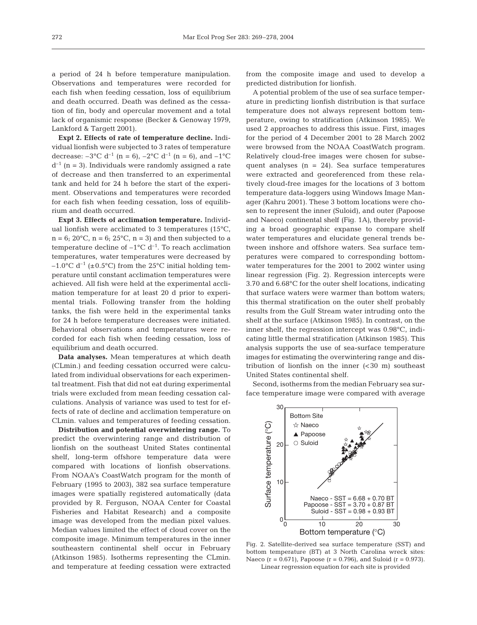a period of 24 h before temperature manipulation. Observations and temperatures were recorded for each fish when feeding cessation, loss of equilibrium and death occurred. Death was defined as the cessation of fin, body and opercular movement and a total lack of organismic response (Becker & Genoway 1979, Lankford & Targett 2001).

**Expt 2. Effects of rate of temperature decline.** Individual lionfish were subjected to 3 rates of temperature decrease:  $-3$ °C d<sup>-1</sup> (n = 6),  $-2$ °C d<sup>-1</sup> (n = 6), and  $-1$ °C  $d^{-1}$  (n = 3). Individuals were randomly assigned a rate of decrease and then transferred to an experimental tank and held for 24 h before the start of the experiment. Observations and temperatures were recorded for each fish when feeding cessation, loss of equilibrium and death occurred.

**Expt 3. Effects of acclimation temperature.** Individual lionfish were acclimated to 3 temperatures (15°C,  $n=6$ ; 20 $\textdegree$ C,  $n=6$ ; 25 $\textdegree$ C,  $n=3$ ) and then subjected to a temperature decline of  $-1$ °C d<sup>-1</sup>. To reach acclimation temperatures, water temperatures were decreased by –1.0°C d<sup>-1</sup> ( $\pm$ 0.5°C) from the 25°C initial holding temperature until constant acclimation temperatures were achieved. All fish were held at the experimental acclimation temperature for at least 20 d prior to experimental trials. Following transfer from the holding tanks, the fish were held in the experimental tanks for 24 h before temperature decreases were initiated. Behavioral observations and temperatures were recorded for each fish when feeding cessation, loss of equilibrium and death occurred.

**Data analyses.** Mean temperatures at which death (CLmin.) and feeding cessation occurred were calculated from individual observations for each experimental treatment. Fish that did not eat during experimental trials were excluded from mean feeding cessation calculations. Analysis of variance was used to test for effects of rate of decline and acclimation temperature on CLmin. values and temperatures of feeding cessation.

**Distribution and potential overwintering range.** To predict the overwintering range and distribution of lionfish on the southeast United States continental shelf, long-term offshore temperature data were compared with locations of lionfish observations. From NOAA's CoastWatch program for the month of February (1995 to 2003), 382 sea surface temperature images were spatially registered automatically (data provided by R. Ferguson, NOAA Center for Coastal Fisheries and Habitat Research) and a composite image was developed from the median pixel values. Median values limited the effect of cloud cover on the composite image. Minimum temperatures in the inner southeastern continental shelf occur in February (Atkinson 1985). Isotherms representing the CLmin. and temperature at feeding cessation were extracted

from the composite image and used to develop a predicted distribution for lionfish.

A potential problem of the use of sea surface temperature in predicting lionfish distribution is that surface temperature does not always represent bottom temperature, owing to stratification (Atkinson 1985). We used 2 approaches to address this issue. First, images for the period of 4 December 2001 to 28 March 2002 were browsed from the NOAA CoastWatch program. Relatively cloud-free images were chosen for subsequent analyses  $(n = 24)$ . Sea surface temperatures were extracted and georeferenced from these relatively cloud-free images for the locations of 3 bottom temperature data-loggers using Windows Image Manager (Kahru 2001). These 3 bottom locations were chosen to represent the inner (Suloid), and outer (Papoose and Naeco) continental shelf (Fig. 1A), thereby providing a broad geographic expanse to compare shelf water temperatures and elucidate general trends between inshore and offshore waters. Sea surface temperatures were compared to corresponding bottomwater temperatures for the 2001 to 2002 winter using linear regression (Fig. 2). Regression intercepts were 3.70 and 6.68°C for the outer shelf locations, indicating that surface waters were warmer than bottom waters; this thermal stratification on the outer shelf probably results from the Gulf Stream water intruding onto the shelf at the surface (Atkinson 1985). In contrast, on the inner shelf, the regression intercept was 0.98°C, indicating little thermal stratification (Atkinson 1985). This analysis supports the use of sea-surface temperature images for estimating the overwintering range and distribution of lionfish on the inner  $( $30 \, \text{m}$ )$  southeast United States continental shelf.

Second, isotherms from the median February sea surface temperature image were compared with average



Fig. 2. Satellite-derived sea surface temperature (SST) and bottom temperature (BT) at 3 North Carolina wreck sites: Naeco (r = 0.671), Papoose (r = 0.796), and Suloid (r = 0.973). Linear regression equation for each site is provided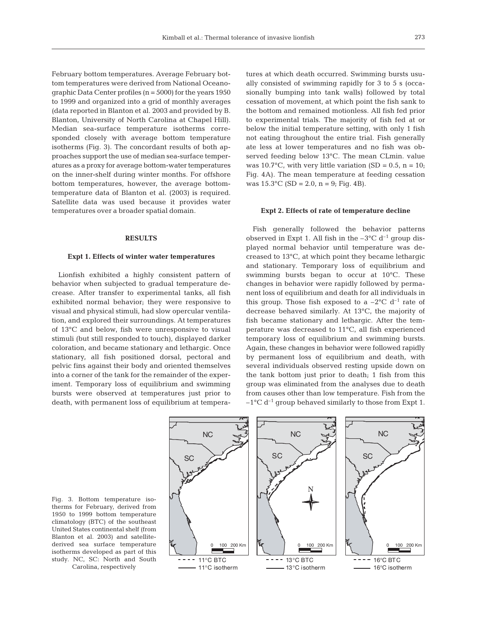February bottom temperatures. Average February bottom temperatures were derived from National Oceanographic Data Center profiles (n = 5000) for the years 1950 to 1999 and organized into a grid of monthly averages (data reported in Blanton et al. 2003 and provided by B. Blanton, University of North Carolina at Chapel Hill). Median sea-surface temperature isotherms corresponded closely with average bottom temperature isotherms (Fig. 3). The concordant results of both approaches support the use of median sea-surface temperatures as a proxy for average bottom-water temperatures on the inner-shelf during winter months. For offshore bottom temperatures, however, the average bottomtemperature data of Blanton et al. (2003) is required. Satellite data was used because it provides water temperatures over a broader spatial domain.

#### **RESULTS**

#### **Expt 1. Effects of winter water temperatures**

Lionfish exhibited a highly consistent pattern of behavior when subjected to gradual temperature decrease. After transfer to experimental tanks, all fish exhibited normal behavior; they were responsive to visual and physical stimuli, had slow opercular ventilation, and explored their surroundings. At temperatures of 13°C and below, fish were unresponsive to visual stimuli (but still responded to touch), displayed darker coloration, and became stationary and lethargic. Once stationary, all fish positioned dorsal, pectoral and pelvic fins against their body and oriented themselves into a corner of the tank for the remainder of the experiment. Temporary loss of equilibrium and swimming bursts were observed at temperatures just prior to death, with permanent loss of equilibrium at temperatures at which death occurred. Swimming bursts usually consisted of swimming rapidly for 3 to 5 s (occasionally bumping into tank walls) followed by total cessation of movement, at which point the fish sank to the bottom and remained motionless. All fish fed prior to experimental trials. The majority of fish fed at or below the initial temperature setting, with only 1 fish not eating throughout the entire trial. Fish generally ate less at lower temperatures and no fish was observed feeding below 13°C. The mean CLmin. value was  $10.7^{\circ}$ C, with very little variation (SD = 0.5, n = 10; Fig. 4A). The mean temperature at feeding cessation was  $15.3$ °C (SD = 2.0, n = 9; Fig. 4B).

# **Expt 2. Effects of rate of temperature decline**

Fish generally followed the behavior patterns observed in Expt 1. All fish in the  $-3^{\circ}$ C d<sup>-1</sup> group displayed normal behavior until temperature was decreased to 13°C, at which point they became lethargic and stationary. Temporary loss of equilibrium and swimming bursts began to occur at 10°C. These changes in behavior were rapidly followed by permanent loss of equilibrium and death for all individuals in this group. Those fish exposed to a  $-2^{\circ}C$  d<sup>-1</sup> rate of decrease behaved similarly. At 13°C, the majority of fish became stationary and lethargic. After the temperature was decreased to 11°C, all fish experienced temporary loss of equilibrium and swimming bursts. Again, these changes in behavior were followed rapidly by permanent loss of equilibrium and death, with several individuals observed resting upside down on the tank bottom just prior to death; 1 fish from this group was eliminated from the analyses due to death from causes other than low temperature. Fish from the  $-1$ <sup>o</sup>C d<sup>-1</sup> group behaved similarly to those from Expt 1.

Fig. 3. Bottom temperature isotherms for February, derived from 1950 to 1999 bottom temperature climatology (BTC) of the southeast United States continental shelf (from Blanton et al. 2003) and satellitederived sea surface temperature isotherms developed as part of this study. NC, SC: North and South



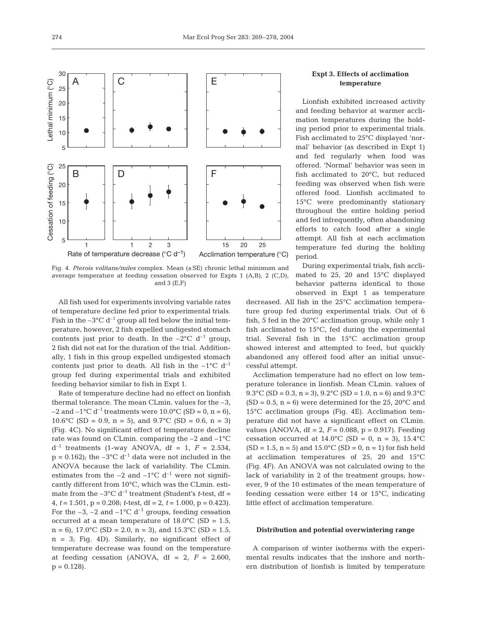

Fig. 4. *Pterois volitans/miles* complex. Mean (±SE) chronic lethal minimum and average temperature at feeding cessation observed for Expts 1 (A,B), 2 (C,D), and  $3(E,F)$ 

All fish used for experiments involving variable rates of temperature decline fed prior to experimental trials. Fish in the  $-3^{\circ}$ C d<sup>-1</sup> group all fed below the initial temperature, however, 2 fish expelled undigested stomach contents just prior to death. In the  $-2^{\circ}C$  d<sup>-1</sup> group, 2 fish did not eat for the duration of the trial. Additionally, 1 fish in this group expelled undigested stomach contents just prior to death. All fish in the  $-1$ <sup>o</sup>C d<sup>-1</sup> group fed during experimental trials and exhibited feeding behavior similar to fish in Expt 1.

Rate of temperature decline had no effect on lionfish thermal tolerance. The mean CLmin. values for the –3, –2 and –1<sup>o</sup>C d<sup>-1</sup> treatments were 10.0<sup>o</sup>C (SD = 0, n = 6), 10.6°C (SD = 0.9, n = 5), and  $9.7$ °C (SD = 0.6, n = 3) (Fig. 4C). No significant effect of temperature decline rate was found on CLmin. comparing the –2 and –1°C  $d^{-1}$  treatments (1-way ANOVA,  $df = 1$ ,  $F = 2.534$ ,  $p = 0.162$ ; the  $-3$ °C d<sup>-1</sup> data were not included in the ANOVA because the lack of variability. The CLmin. estimates from the  $-2$  and  $-1$ °C d<sup>-1</sup> were not significantly different from 10°C, which was the CLmin. estimate from the  $-3^{\circ}$ C d<sup>-1</sup> treatment (Student's *t*-test, df = 4, *t* = 1.501, p = 0.208; *t*-test, df = 2, *t* = 1.000, p = 0.423). For the  $-3$ ,  $-2$  and  $-1$ °C d<sup>-1</sup> groups, feeding cessation occurred at a mean temperature of  $18.0^{\circ}$ C (SD = 1.5,  $n = 6$ , 17.0°C (SD = 2.0,  $n = 3$ ), and 15.3°C (SD = 1.5,  $n = 3$ ; Fig. 4D). Similarly, no significant effect of temperature decrease was found on the temperature at feeding cessation (ANOVA,  $df = 2$ ,  $F = 2.600$ ,  $p = 0.128$ .

# **Expt 3. Effects of acclimation temperature**

Lionfish exhibited increased activity and feeding behavior at warmer acclimation temperatures during the holding period prior to experimental trials. Fish acclimated to 25°C displayed 'normal' behavior (as described in Expt 1) and fed regularly when food was offered. 'Normal' behavior was seen in fish acclimated to 20°C, but reduced feeding was observed when fish were offered food. Lionfish acclimated to 15°C were predominantly stationary throughout the entire holding period and fed infrequently, often abandoning efforts to catch food after a single attempt. All fish at each acclimation temperature fed during the holding period.

During experimental trials, fish acclimated to 25, 20 and 15°C displayed behavior patterns identical to those observed in Expt 1 as temperature

decreased. All fish in the 25°C acclimation temperature group fed during experimental trials. Out of 6 fish, 5 fed in the 20°C acclimation group, while only 1 fish acclimated to 15°C, fed during the experimental trial. Several fish in the 15°C acclimation group showed interest and attempted to feed, but quickly abandoned any offered food after an initial unsuccessful attempt.

Acclimation temperature had no effect on low temperature tolerance in lionfish. Mean CLmin. values of 9.3°C (SD = 0.3, n = 3), 9.2°C (SD = 1.0, n = 6) and 9.3°C  $(SD = 0.5, n = 6)$  were determined for the 25, 20 $^{\circ}$ C and 15°C acclimation groups (Fig. 4E). Acclimation temperature did not have a significant effect on CLmin. values (ANOVA,  $df = 2$ ,  $F = 0.088$ ,  $p = 0.917$ ). Feeding cessation occurred at  $14.0^{\circ}$ C (SD = 0, n = 3),  $15.4^{\circ}$ C  $(SD = 1.5, n = 5)$  and  $15.0^{\circ}C(SD = 0, n = 1)$  for fish held at acclimation temperatures of 25, 20 and 15°C (Fig. 4F). An ANOVA was not calculated owing to the lack of variability in 2 of the treatment groups; however, 9 of the 10 estimates of the mean temperature of feeding cessation were either 14 or 15°C, indicating little effect of acclimation temperature.

#### **Distribution and potential overwintering range**

A comparison of winter isotherms with the experimental results indicates that the inshore and northern distribution of lionfish is limited by temperature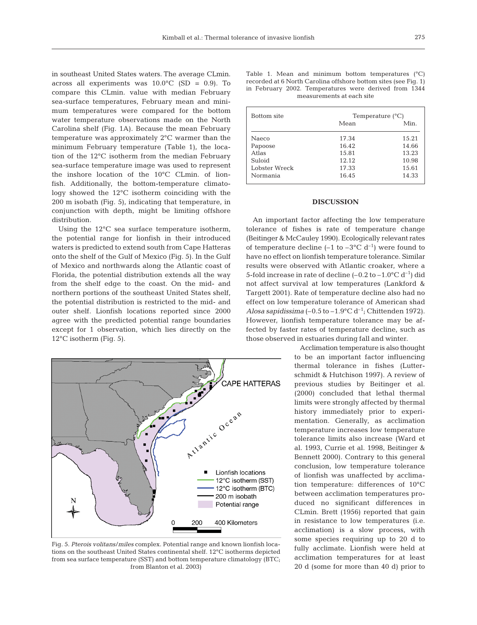in southeast United States waters. The average CLmin. across all experiments was  $10.0^{\circ}$ C (SD = 0.9). To compare this CLmin. value with median February sea-surface temperatures, February mean and minimum temperatures were compared for the bottom water temperature observations made on the North Carolina shelf (Fig. 1A). Because the mean February temperature was approximately 2°C warmer than the minimum February temperature (Table 1), the location of the 12°C isotherm from the median February sea-surface temperature image was used to represent the inshore location of the 10°C CLmin. of lionfish. Additionally, the bottom-temperature climatology showed the 12°C isotherm coinciding with the 200 m isobath (Fig. 5), indicating that temperature, in conjunction with depth, might be limiting offshore distribution.

Using the 12°C sea surface temperature isotherm, the potential range for lionfish in their introduced waters is predicted to extend south from Cape Hatteras onto the shelf of the Gulf of Mexico (Fig. 5). In the Gulf of Mexico and northwards along the Atlantic coast of Florida, the potential distribution extends all the way from the shelf edge to the coast. On the mid- and northern portions of the southeast United States shelf, the potential distribution is restricted to the mid- and outer shelf. Lionfish locations reported since 2000 agree with the predicted potential range boundaries except for 1 observation, which lies directly on the 12°C isotherm (Fig. 5).



Fig. 5. *Pterois volitans*/*miles* complex. Potential range and known lionfish locations on the southeast United States continental shelf. 12°C isotherms depicted from sea surface temperature (SST) and bottom temperature climatology (BTC; from Blanton et al. 2003)

|                           |  |  |  |  |  |  |  |  | Table 1. Mean and minimum bottom temperatures $(°C)$            |  |
|---------------------------|--|--|--|--|--|--|--|--|-----------------------------------------------------------------|--|
|                           |  |  |  |  |  |  |  |  | recorded at 6 North Carolina offshore bottom sites (see Fig. 1) |  |
|                           |  |  |  |  |  |  |  |  | in February 2002. Temperatures were derived from 1344           |  |
| measurements at each site |  |  |  |  |  |  |  |  |                                                                 |  |

| <b>Bottom</b> site | Temperature $(^{\circ}C)$ |       |  |  |  |
|--------------------|---------------------------|-------|--|--|--|
|                    | Mean                      | Min.  |  |  |  |
| Naeco              | 17.34                     | 15.21 |  |  |  |
| Papoose            | 16.42                     | 14.66 |  |  |  |
| Atlas              | 15.81                     | 13.23 |  |  |  |
| Suloid             | 12.12                     | 10.98 |  |  |  |
| Lobster Wreck      | 17.33                     | 15.61 |  |  |  |
| Normania           | 16.45                     | 14.33 |  |  |  |

#### **DISCUSSION**

An important factor affecting the low temperature tolerance of fishes is rate of temperature change (Beitinger & McCauley 1990). Ecologically relevant rates of temperature decline  $(-1 \text{ to } -3^{\circ}C \text{ d}^{-1})$  were found to have no effect on lionfish temperature tolerance. Similar results were observed with Atlantic croaker, where a 5-fold increase in rate of decline  $(-0.2 \text{ to } -1.0^{\circ} \text{C d}^{-1})$  did not affect survival at low temperatures (Lankford & Targett 2001). Rate of temperature decline also had no effect on low temperature tolerance of American shad *Alosa sapidissima*  $(-0.5$  to  $-1.9$ °C d<sup>-1</sup>; Chittenden 1972). However, lionfish temperature tolerance may be affected by faster rates of temperature decline, such as those observed in estuaries during fall and winter.

> Acclimation temperature is also thought to be an important factor influencing thermal tolerance in fishes (Lutterschmidt & Hutchison 1997). A review of previous studies by Beitinger et al. (2000) concluded that lethal thermal limits were strongly affected by thermal history immediately prior to experimentation. Generally, as acclimation temperature increases low temperature tolerance limits also increase (Ward et al. 1993, Currie et al. 1998, Beitinger & Bennett 2000). Contrary to this general conclusion, low temperature tolerance of lionfish was unaffected by acclimation temperature: differences of 10°C between acclimation temperatures produced no significant differences in CLmin. Brett (1956) reported that gain in resistance to low temperatures (i.e. acclimation) is a slow process, with some species requiring up to 20 d to fully acclimate. Lionfish were held at acclimation temperatures for at least 20 d (some for more than 40 d) prior to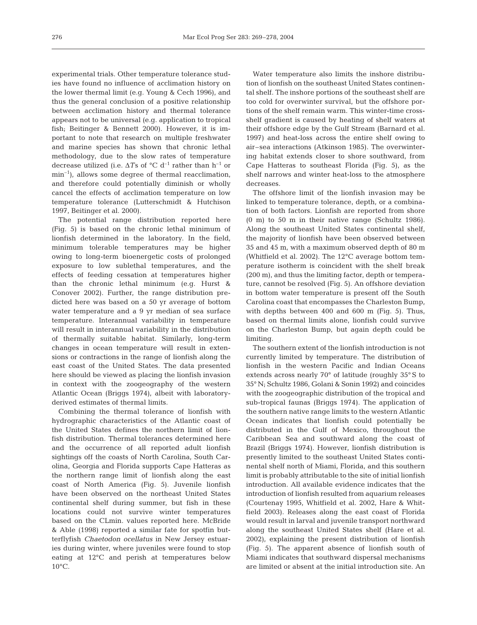experimental trials. Other temperature tolerance studies have found no influence of acclimation history on the lower thermal limit (e.g. Young & Cech 1996), and thus the general conclusion of a positive relationship between acclimation history and thermal tolerance appears not to be universal (e.g. application to tropical fish; Beitinger & Bennett 2000). However, it is important to note that research on multiple freshwater and marine species has shown that chronic lethal methodology, due to the slow rates of temperature decrease utilized (i.e.  $\Delta T$ s of °C d<sup>-1</sup> rather than h<sup>-1</sup> or min<sup>-1</sup>), allows some degree of thermal reacclimation, and therefore could potentially diminish or wholly cancel the effects of acclimation temperature on low temperature tolerance (Lutterschmidt & Hutchison 1997, Beitinger et al. 2000).

The potential range distribution reported here (Fig. 5) is based on the chronic lethal minimum of lionfish determined in the laboratory. In the field, minimum tolerable temperatures may be higher owing to long-term bioenergetic costs of prolonged exposure to low sublethal temperatures, and the effects of feeding cessation at temperatures higher than the chronic lethal minimum (e.g. Hurst & Conover 2002). Further, the range distribution predicted here was based on a 50 yr average of bottom water temperature and a 9 yr median of sea surface temperature. Interannual variability in temperature will result in interannual variability in the distribution of thermally suitable habitat. Similarly, long-term changes in ocean temperature will result in extensions or contractions in the range of lionfish along the east coast of the United States. The data presented here should be viewed as placing the lionfish invasion in context with the zoogeography of the western Atlantic Ocean (Briggs 1974), albeit with laboratoryderived estimates of thermal limits.

Combining the thermal tolerance of lionfish with hydrographic characteristics of the Atlantic coast of the United States defines the northern limit of lionfish distribution. Thermal tolerances determined here and the occurrence of all reported adult lionfish sightings off the coasts of North Carolina, South Carolina, Georgia and Florida supports Cape Hatteras as the northern range limit of lionfish along the east coast of North America (Fig. 5). Juvenile lionfish have been observed on the northeast United States continental shelf during summer, but fish in these locations could not survive winter temperatures based on the CLmin. values reported here. McBride & Able (1998) reported a similar fate for spotfin butterflyfish *Chaetodon ocellatus* in New Jersey estuaries during winter, where juveniles were found to stop eating at 12°C and perish at temperatures below 10°C.

Water temperature also limits the inshore distribution of lionfish on the southeast United States continental shelf. The inshore portions of the southeast shelf are too cold for overwinter survival, but the offshore portions of the shelf remain warm. This winter-time crossshelf gradient is caused by heating of shelf waters at their offshore edge by the Gulf Stream (Barnard et al. 1997) and heat-loss across the entire shelf owing to air–sea interactions (Atkinson 1985). The overwintering habitat extends closer to shore southward, from Cape Hatteras to southeast Florida (Fig. 5), as the shelf narrows and winter heat-loss to the atmosphere decreases.

The offshore limit of the lionfish invasion may be linked to temperature tolerance, depth, or a combination of both factors. Lionfish are reported from shore (0 m) to 50 m in their native range (Schultz 1986). Along the southeast United States continental shelf, the majority of lionfish have been observed between 35 and 45 m, with a maximum observed depth of 80 m (Whitfield et al. 2002). The 12°C average bottom temperature isotherm is coincident with the shelf break (200 m), and thus the limiting factor, depth or temperature, cannot be resolved (Fig. 5). An offshore deviation in bottom water temperature is present off the South Carolina coast that encompasses the Charleston Bump, with depths between 400 and 600 m (Fig. 5). Thus, based on thermal limits alone, lionfish could survive on the Charleston Bump, but again depth could be limiting.

The southern extent of the lionfish introduction is not currently limited by temperature. The distribution of lionfish in the western Pacific and Indian Oceans extends across nearly 70° of latitude (roughly 35° S to 35° N; Schultz 1986, Golani & Sonin 1992) and coincides with the zoogeographic distribution of the tropical and sub-tropical faunas (Briggs 1974). The application of the southern native range limits to the western Atlantic Ocean indicates that lionfish could potentially be distributed in the Gulf of Mexico, throughout the Caribbean Sea and southward along the coast of Brazil (Briggs 1974). However, lionfish distribution is presently limited to the southeast United States continental shelf north of Miami, Florida, and this southern limit is probably attributable to the site of initial lionfish introduction. All available evidence indicates that the introduction of lionfish resulted from aquarium releases (Courtenay 1995, Whitfield et al. 2002, Hare & Whitfield 2003). Releases along the east coast of Florida would result in larval and juvenile transport northward along the southeast United States shelf (Hare et al. 2002), explaining the present distribution of lionfish (Fig. 5). The apparent absence of lionfish south of Miami indicates that southward dispersal mechanisms are limited or absent at the initial introduction site. An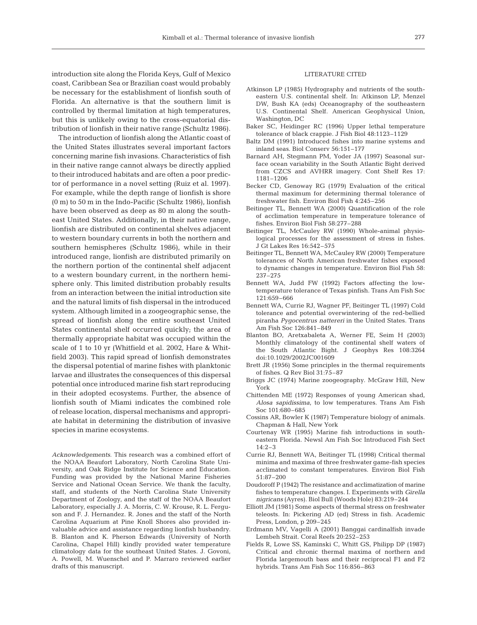introduction site along the Florida Keys, Gulf of Mexico coast, Caribbean Sea or Brazilian coast would probably be necessary for the establishment of lionfish south of Florida. An alternative is that the southern limit is controlled by thermal limitation at high temperatures, but this is unlikely owing to the cross-equatorial distribution of lionfish in their native range (Schultz 1986).

The introduction of lionfish along the Atlantic coast of the United States illustrates several important factors concerning marine fish invasions. Characteristics of fish in their native range cannot always be directly applied to their introduced habitats and are often a poor predictor of performance in a novel setting (Ruiz et al. 1997). For example, while the depth range of lionfish is shore (0 m) to 50 m in the Indo-Pacific (Schultz 1986), lionfish have been observed as deep as 80 m along the southeast United States. Additionally, in their native range, lionfish are distributed on continental shelves adjacent to western boundary currents in both the northern and southern hemispheres (Schultz 1986), while in their introduced range, lionfish are distributed primarily on the northern portion of the continental shelf adjacent to a western boundary current, in the northern hemisphere only. This limited distribution probably results from an interaction between the initial introduction site and the natural limits of fish dispersal in the introduced system. Although limited in a zoogeographic sense, the spread of lionfish along the entire southeast United States continental shelf occurred quickly; the area of thermally appropriate habitat was occupied within the scale of 1 to 10 yr (Whitfield et al. 2002, Hare & Whitfield 2003). This rapid spread of lionfish demonstrates the dispersal potential of marine fishes with planktonic larvae and illustrates the consequences of this dispersal potential once introduced marine fish start reproducing in their adopted ecosystems. Further, the absence of lionfish south of Miami indicates the combined role of release location, dispersal mechanisms and appropriate habitat in determining the distribution of invasive species in marine ecosystems.

*Acknowledgements.* This research was a combined effort of the NOAA Beaufort Laboratory, North Carolina State University, and Oak Ridge Institute for Science and Education. Funding was provided by the National Marine Fisheries Service and National Ocean Service. We thank the faculty, staff, and students of the North Carolina State University Department of Zoology, and the staff of the NOAA Beaufort Laboratory, especially J. A. Morris, C. W. Krouse, R. L. Ferguson and F. J. Hernandez. R. Jones and the staff of the North Carolina Aquarium at Pine Knoll Shores also provided invaluable advice and assistance regarding lionfish husbandry. B. Blanton and K. Pherson Edwards (University of North Carolina, Chapel Hill) kindly provided water temperature climatology data for the southeast United States. J. Govoni, A. Powell, M. Wuenschel and P. Marraro reviewed earlier drafts of this manuscript.

# LITERATURE CITED

- Atkinson LP (1985) Hydrography and nutrients of the southeastern U.S. continental shelf. In: Atkinson LP, Menzel DW, Bush KA (eds) Oceanography of the southeastern U.S. Continental Shelf. American Geophysical Union, Washington, DC
- Baker SC, Heidinger RC (1996) Upper lethal temperature tolerance of black crappie. J Fish Biol 48:1123–1129
- Baltz DM (1991) Introduced fishes into marine systems and inland seas. Biol Conserv 56:151–177
- Barnard AH, Stegmann PM, Yoder JA (1997) Seasonal surface ocean variability in the South Atlantic Bight derived from CZCS and AVHRR imagery. Cont Shelf Res 17: 1181–1206
- Becker CD, Genoway RG (1979) Evaluation of the critical thermal maximum for determining thermal tolerance of freshwater fish. Environ Biol Fish 4:245–256
- Beitinger TL, Bennett WA (2000) Quantification of the role of acclimation temperature in temperature tolerance of fishes. Environ Biol Fish 58:277–288
- Beitinger TL, McCauley RW (1990) Whole-animal physiological processes for the assessment of stress in fishes. J Gt Lakes Res 16:542–575
- Beitinger TL, Bennett WA, McCauley RW (2000) Temperature tolerances of North American freshwater fishes exposed to dynamic changes in temperature. Environ Biol Fish 58: 237–275
- Bennett WA, Judd FW (1992) Factors affecting the lowtemperature tolerance of Texas pinfish. Trans Am Fish Soc 121:659–666
- Bennett WA, Currie RJ, Wagner PF, Beitinger TL (1997) Cold tolerance and potential overwintering of the red-bellied piranha *Pygocentrus nattereri* in the United States. Trans Am Fish Soc 126:841–849
- Blanton BO, Aretxabaleta A, Werner FE, Seim H (2003) Monthly climatology of the continental shelf waters of the South Atlantic Bight. J Geophys Res 108:3264 doi:10.1029/2002JC001609
- Brett JR (1956) Some principles in the thermal requirements of fishes. Q Rev Biol 31:75–87
- Briggs JC (1974) Marine zoogeography. McGraw Hill, New York
- Chittenden ME (1972) Responses of young American shad, *Alosa sapidissima*, to low temperatures. Trans Am Fish Soc 101:680–685
- Cossins AR, Bowler K (1987) Temperature biology of animals. Chapman & Hall, New York
- Courtenay WR (1995) Marine fish introductions in southeastern Florida. Newsl Am Fish Soc Introduced Fish Sect 14:2–3
- Currie RJ, Bennett WA, Beitinger TL (1998) Critical thermal minima and maxima of three freshwater game-fish species acclimated to constant temperatures. Environ Biol Fish 51:87–200
- Doudoroff P (1942) The resistance and acclimatization of marine fishes to temperature changes. I. Experiments with *Girella nigricans* (Ayres). Biol Bull (Woods Hole) 83:219–244
- Elliott JM (1981) Some aspects of thermal stress on freshwater teleosts. In: Pickering AD (ed) Stress in fish. Academic Press, London, p 209–245
- Erdmann MV, Vagelli A (2001) Banggai cardinalfish invade Lembeh Strait. Coral Reefs 20:252–253
- Fields R, Lowe SS, Kaminski C, Whitt GS, Philipp DP (1987) Critical and chronic thermal maxima of northern and Florida largemouth bass and their reciprocal F1 and F2 hybrids. Trans Am Fish Soc 116:856–863